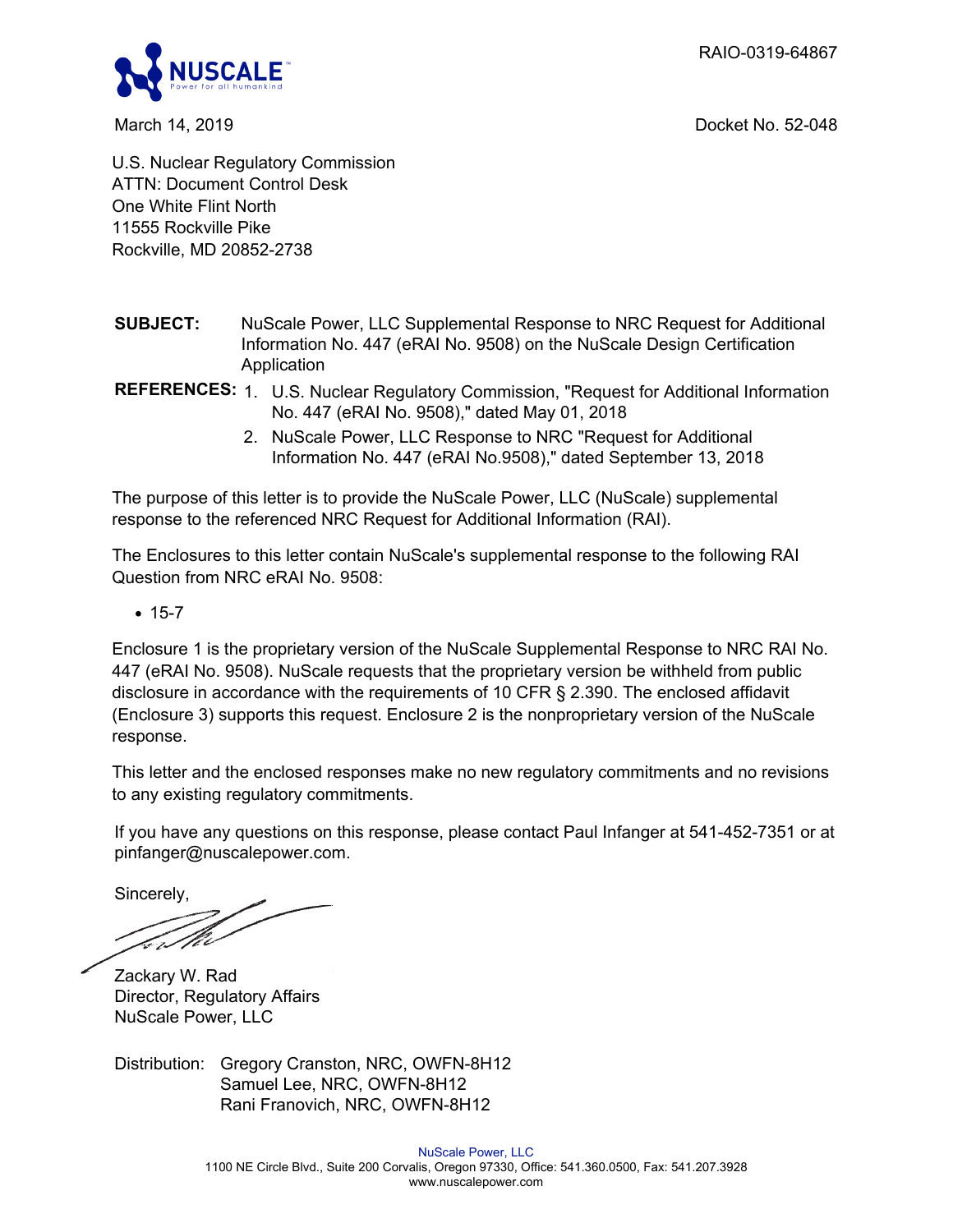RAIO-0319-64867



March 14, 2019 Docket No. 52-048

U.S. Nuclear Regulatory Commission ATTN: Document Control Desk One White Flint North 11555 Rockville Pike Rockville, MD 20852-2738

- **SUBJECT:** NuScale Power, LLC Supplemental Response to NRC Request for Additional Information No. 447 (eRAI No. 9508) on the NuScale Design Certification Application
- **REFERENCES:** 1. U.S. Nuclear Regulatory Commission, "Request for Additional Information No. 447 (eRAI No. 9508)," dated May 01, 2018
	- 2. NuScale Power, LLC Response to NRC "Request for Additional Information No. 447 (eRAI No.9508)," dated September 13, 2018

The purpose of this letter is to provide the NuScale Power, LLC (NuScale) supplemental response to the referenced NRC Request for Additional Information (RAI).

The Enclosures to this letter contain NuScale's supplemental response to the following RAI Question from NRC eRAI No. 9508:

 $• 15-7$ 

Enclosure 1 is the proprietary version of the NuScale Supplemental Response to NRC RAI No. 447 (eRAI No. 9508). NuScale requests that the proprietary version be withheld from public disclosure in accordance with the requirements of 10 CFR § 2.390. The enclosed affidavit (Enclosure 3) supports this request. Enclosure 2 is the nonproprietary version of the NuScale response.

This letter and the enclosed responses make no new regulatory commitments and no revisions to any existing regulatory commitments.

If you have any questions on this response, please contact Paul Infanger at 541-452-7351 or at pinfanger@nuscalepower.com.

Sincerely,

Er/1.

Zackary W. Rad Director, Regulatory Affairs NuScale Power, LLC

Distribution: Gregory Cranston, NRC, OWFN-8H12 Samuel Lee, NRC, OWFN-8H12 Rani Franovich, NRC, OWFN-8H12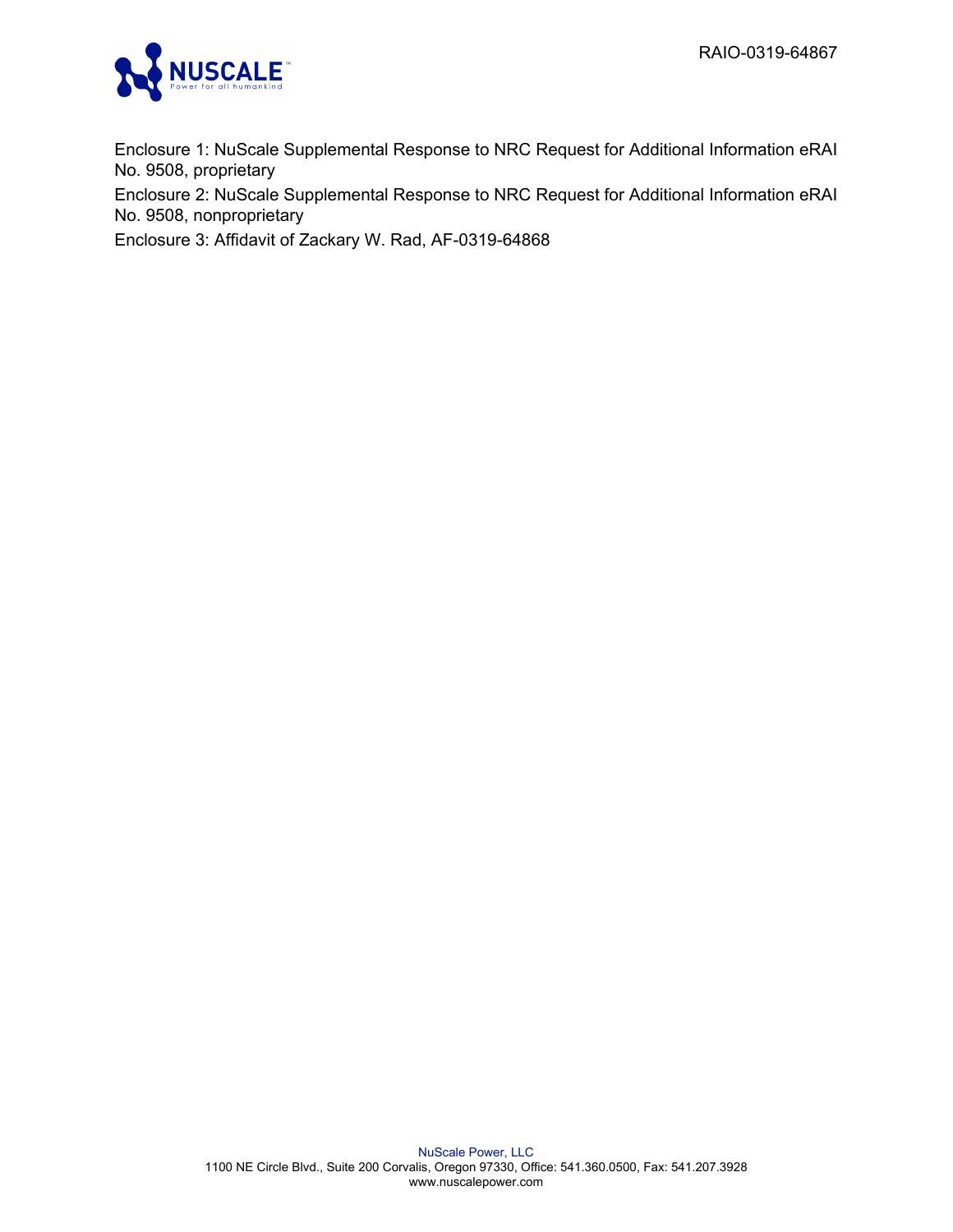

Enclosure 1: NuScale Supplemental Response to NRC Request for Additional Information eRAI No. 9508, proprietary

Enclosure 2: NuScale Supplemental Response to NRC Request for Additional Information eRAI No. 9508, nonproprietary

Enclosure 3: Affidavit of Zackary W. Rad, AF-0319-64868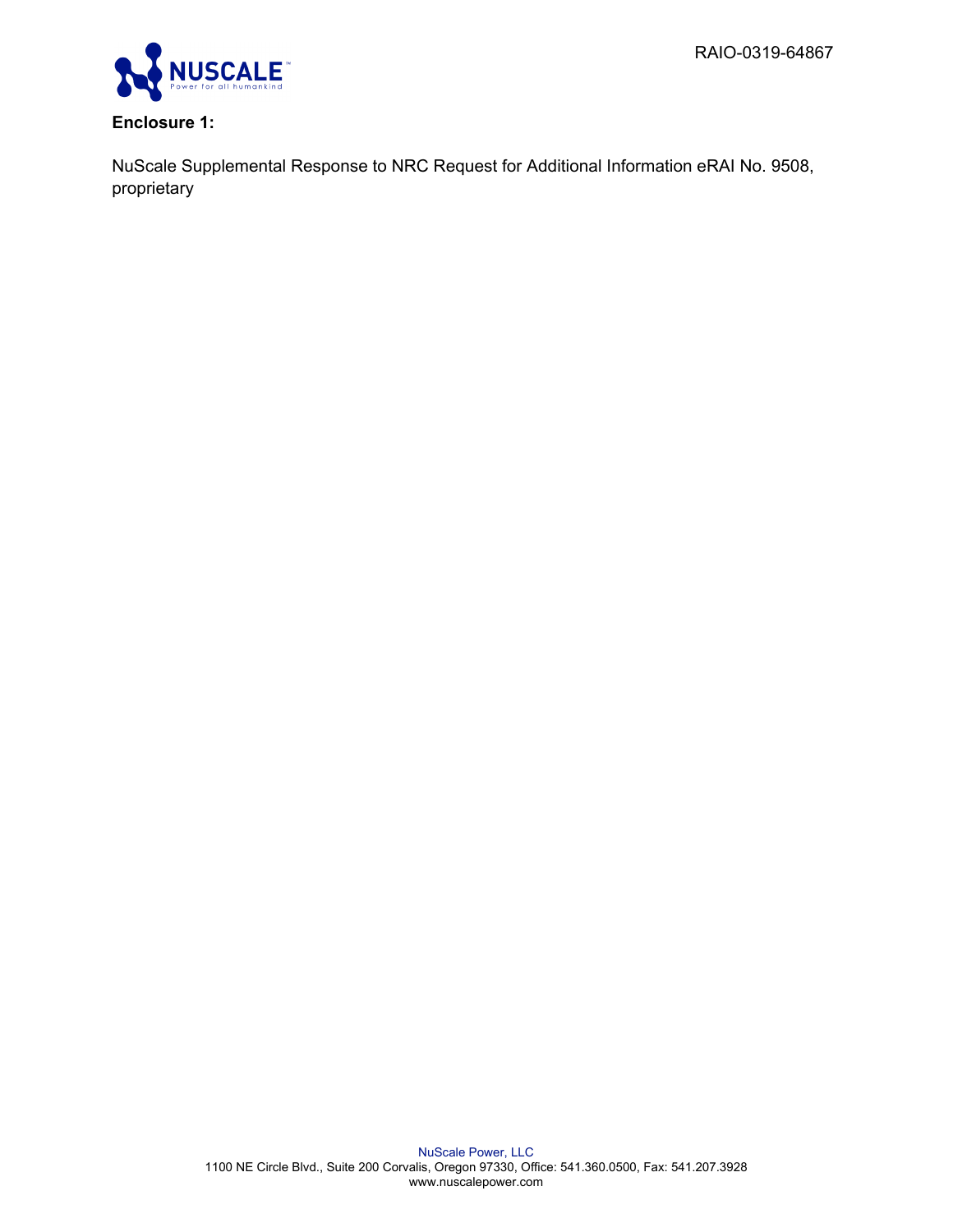

# **Enclosure 1:**

NuScale Supplemental Response to NRC Request for Additional Information eRAI No. 9508, proprietary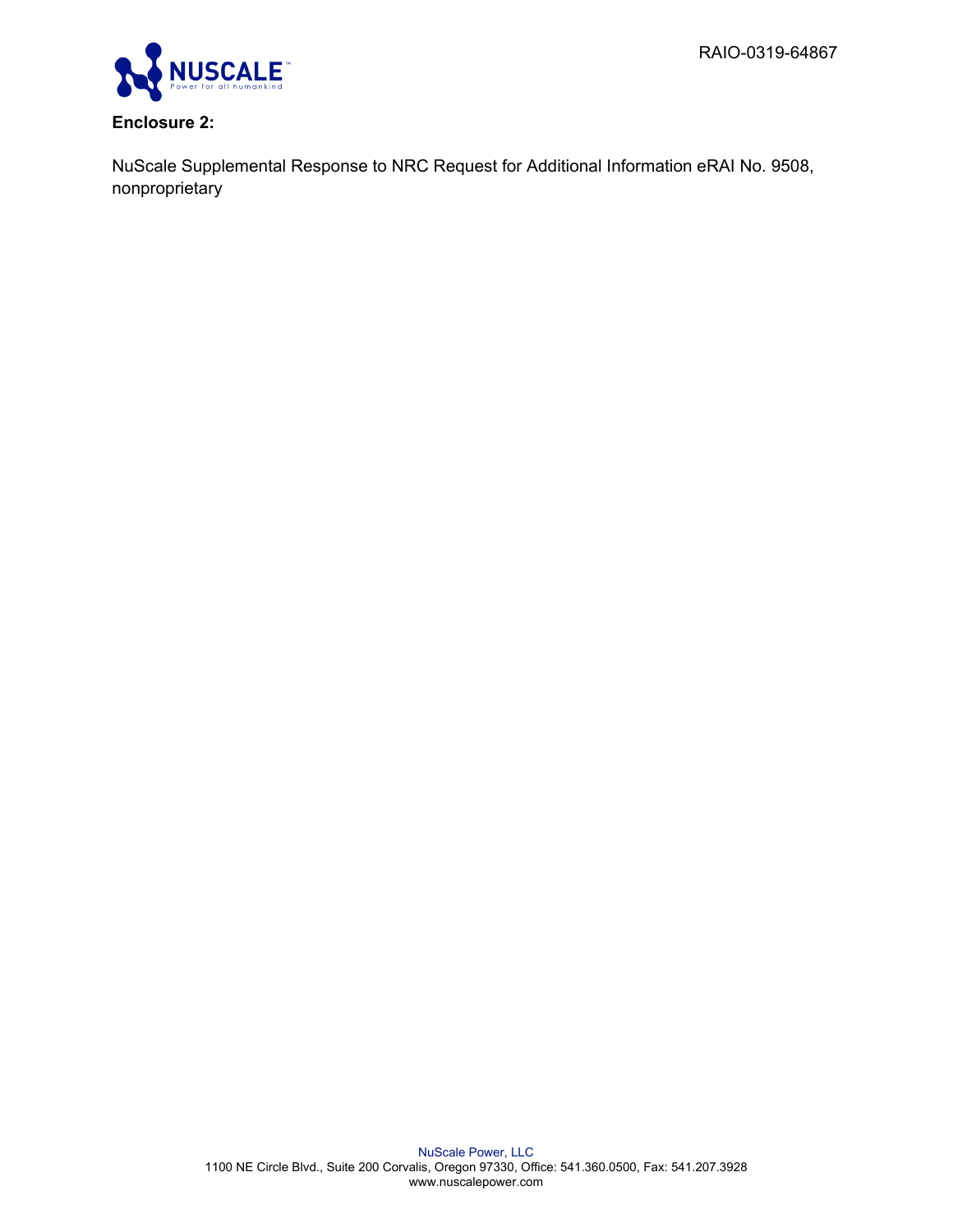

# **Enclosure 2:**

NuScale Supplemental Response to NRC Request for Additional Information eRAI No. 9508, nonproprietary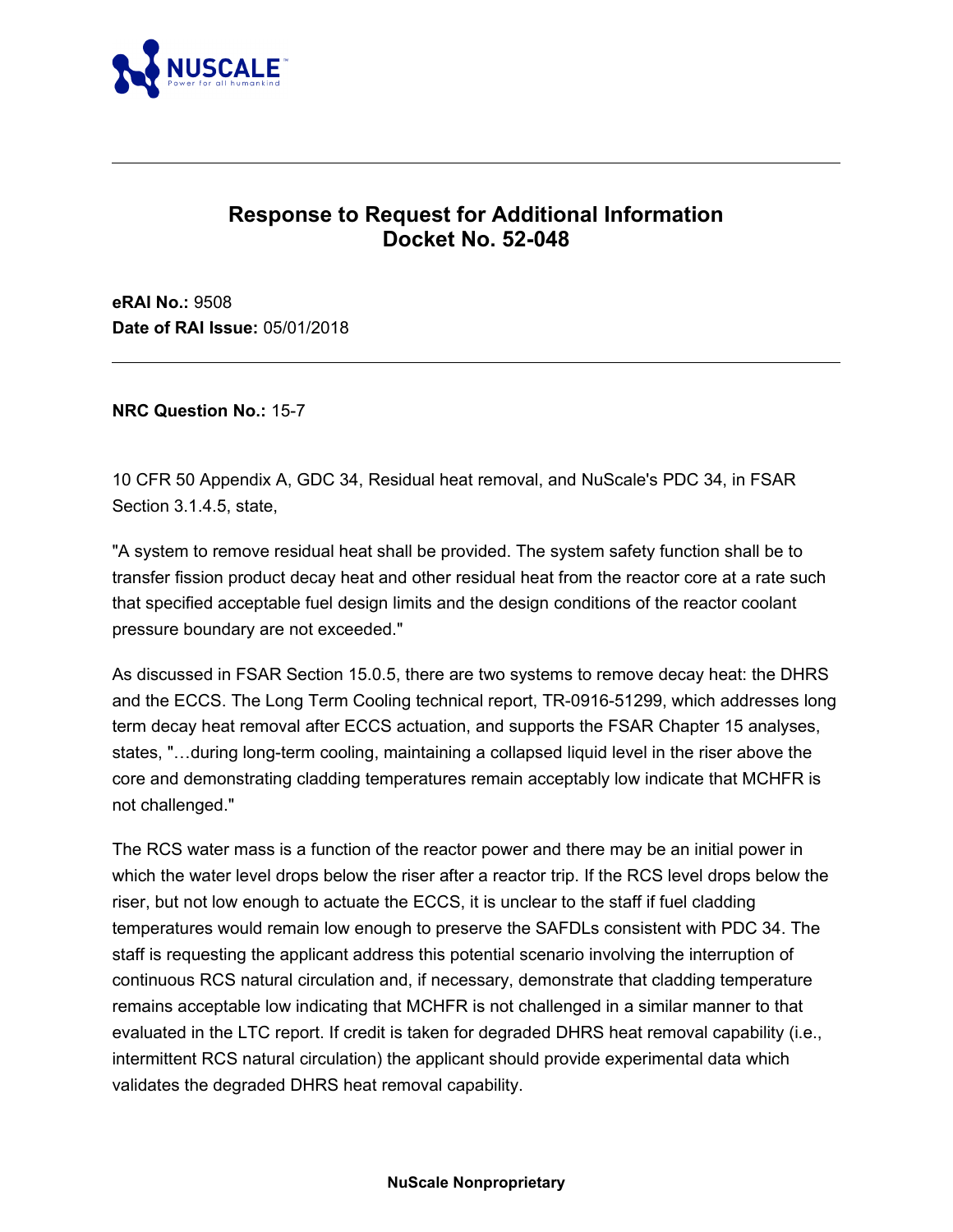

# **Response to Request for Additional Information Docket No. 52-048**

**eRAI No.:** 9508 **Date of RAI Issue:** 05/01/2018

**NRC Question No.:** 15-7

10 CFR 50 Appendix A, GDC 34, Residual heat removal, and NuScale's PDC 34, in FSAR Section 3.1.4.5, state,

"A system to remove residual heat shall be provided. The system safety function shall be to transfer fission product decay heat and other residual heat from the reactor core at a rate such that specified acceptable fuel design limits and the design conditions of the reactor coolant pressure boundary are not exceeded."

As discussed in FSAR Section 15.0.5, there are two systems to remove decay heat: the DHRS and the ECCS. The Long Term Cooling technical report, TR-0916-51299, which addresses long term decay heat removal after ECCS actuation, and supports the FSAR Chapter 15 analyses, states, "…during long-term cooling, maintaining a collapsed liquid level in the riser above the core and demonstrating cladding temperatures remain acceptably low indicate that MCHFR is not challenged."

The RCS water mass is a function of the reactor power and there may be an initial power in which the water level drops below the riser after a reactor trip. If the RCS level drops below the riser, but not low enough to actuate the ECCS, it is unclear to the staff if fuel cladding temperatures would remain low enough to preserve the SAFDLs consistent with PDC 34. The staff is requesting the applicant address this potential scenario involving the interruption of continuous RCS natural circulation and, if necessary, demonstrate that cladding temperature remains acceptable low indicating that MCHFR is not challenged in a similar manner to that evaluated in the LTC report. If credit is taken for degraded DHRS heat removal capability (i.e., intermittent RCS natural circulation) the applicant should provide experimental data which validates the degraded DHRS heat removal capability.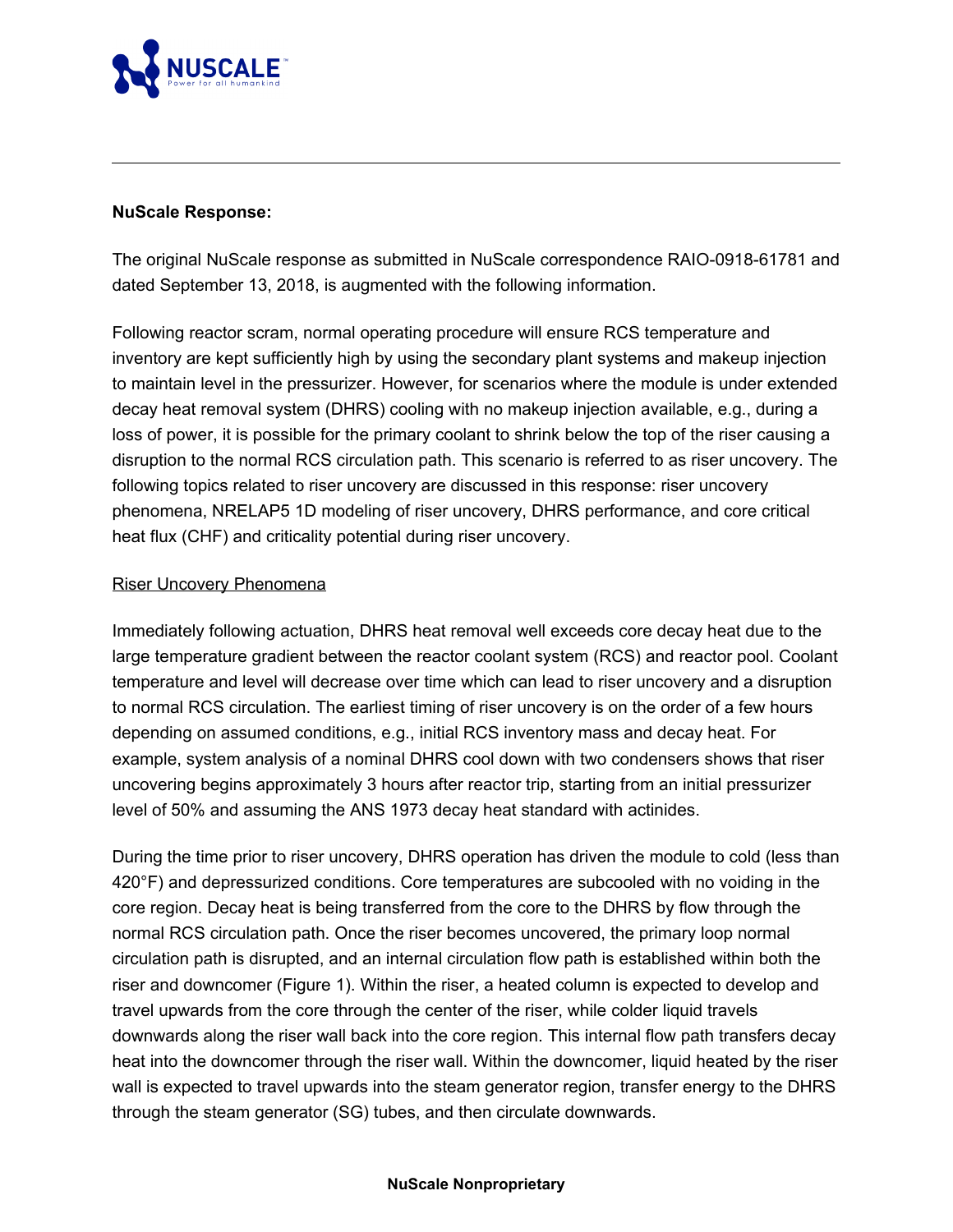

## **NuScale Response:**

The original NuScale response as submitted in NuScale correspondence RAIO-0918-61781 and dated September 13, 2018, is augmented with the following information.

Following reactor scram, normal operating procedure will ensure RCS temperature and inventory are kept sufficiently high by using the secondary plant systems and makeup injection to maintain level in the pressurizer. However, for scenarios where the module is under extended decay heat removal system (DHRS) cooling with no makeup injection available, e.g., during a loss of power, it is possible for the primary coolant to shrink below the top of the riser causing a disruption to the normal RCS circulation path. This scenario is referred to as riser uncovery. The following topics related to riser uncovery are discussed in this response: riser uncovery phenomena, NRELAP5 1D modeling of riser uncovery, DHRS performance, and core critical heat flux (CHF) and criticality potential during riser uncovery.

### Riser Uncovery Phenomena

Immediately following actuation, DHRS heat removal well exceeds core decay heat due to the large temperature gradient between the reactor coolant system (RCS) and reactor pool. Coolant temperature and level will decrease over time which can lead to riser uncovery and a disruption to normal RCS circulation. The earliest timing of riser uncovery is on the order of a few hours depending on assumed conditions, e.g., initial RCS inventory mass and decay heat. For example, system analysis of a nominal DHRS cool down with two condensers shows that riser uncovering begins approximately 3 hours after reactor trip, starting from an initial pressurizer level of 50% and assuming the ANS 1973 decay heat standard with actinides.

During the time prior to riser uncovery, DHRS operation has driven the module to cold (less than 420°F) and depressurized conditions. Core temperatures are subcooled with no voiding in the core region. Decay heat is being transferred from the core to the DHRS by flow through the normal RCS circulation path. Once the riser becomes uncovered, the primary loop normal circulation path is disrupted, and an internal circulation flow path is established within both the riser and downcomer (Figure 1). Within the riser, a heated column is expected to develop and travel upwards from the core through the center of the riser, while colder liquid travels downwards along the riser wall back into the core region. This internal flow path transfers decay heat into the downcomer through the riser wall. Within the downcomer, liquid heated by the riser wall is expected to travel upwards into the steam generator region, transfer energy to the DHRS through the steam generator (SG) tubes, and then circulate downwards.

#### **NuScale Nonproprietary**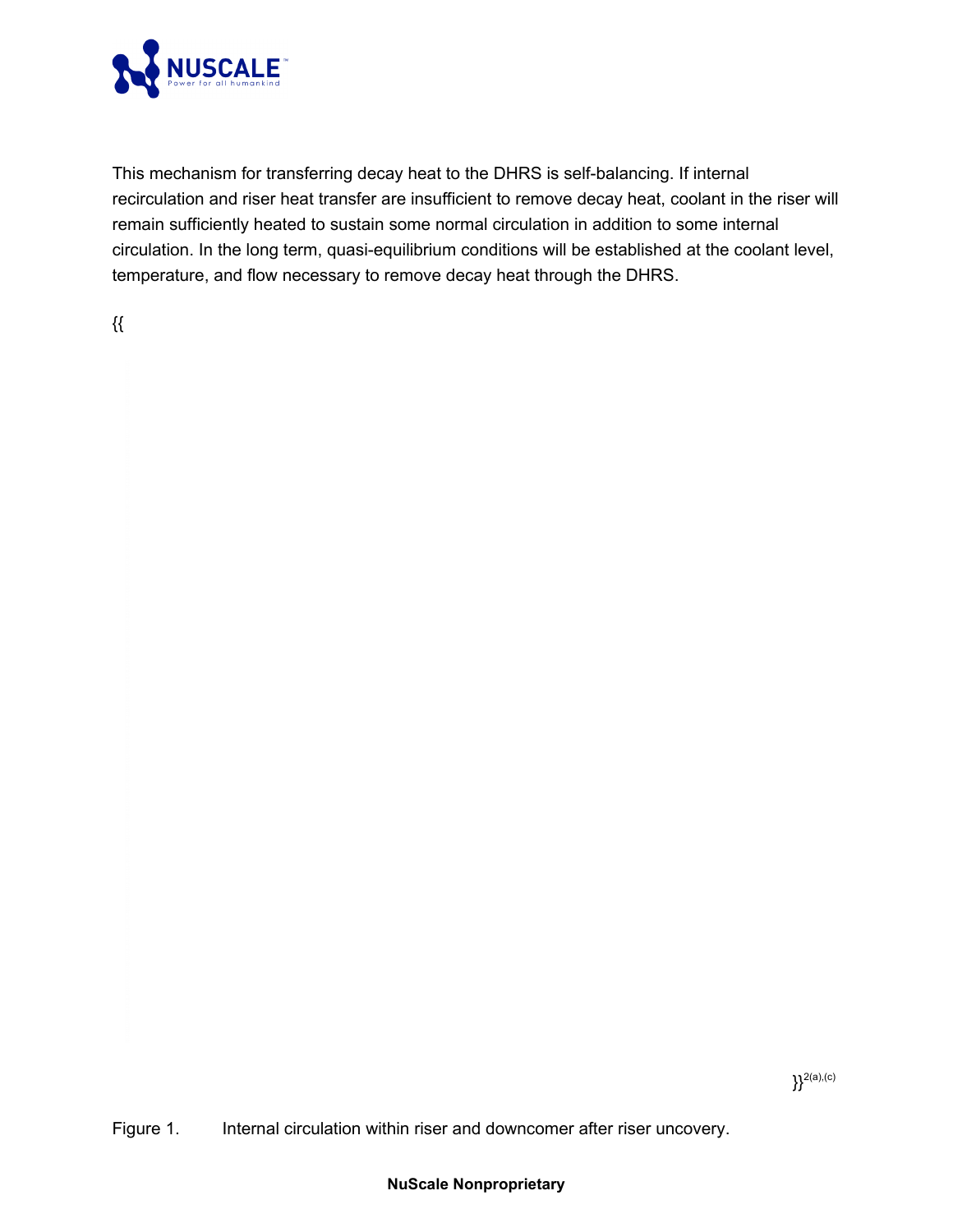

This mechanism for transferring decay heat to the DHRS is self-balancing. If internal recirculation and riser heat transfer are insufficient to remove decay heat, coolant in the riser will remain sufficiently heated to sustain some normal circulation in addition to some internal circulation. In the long term, quasi-equilibrium conditions will be established at the coolant level, temperature, and flow necessary to remove decay heat through the DHRS.

{{

Figure 1. Internal circulation within riser and downcomer after riser uncovery.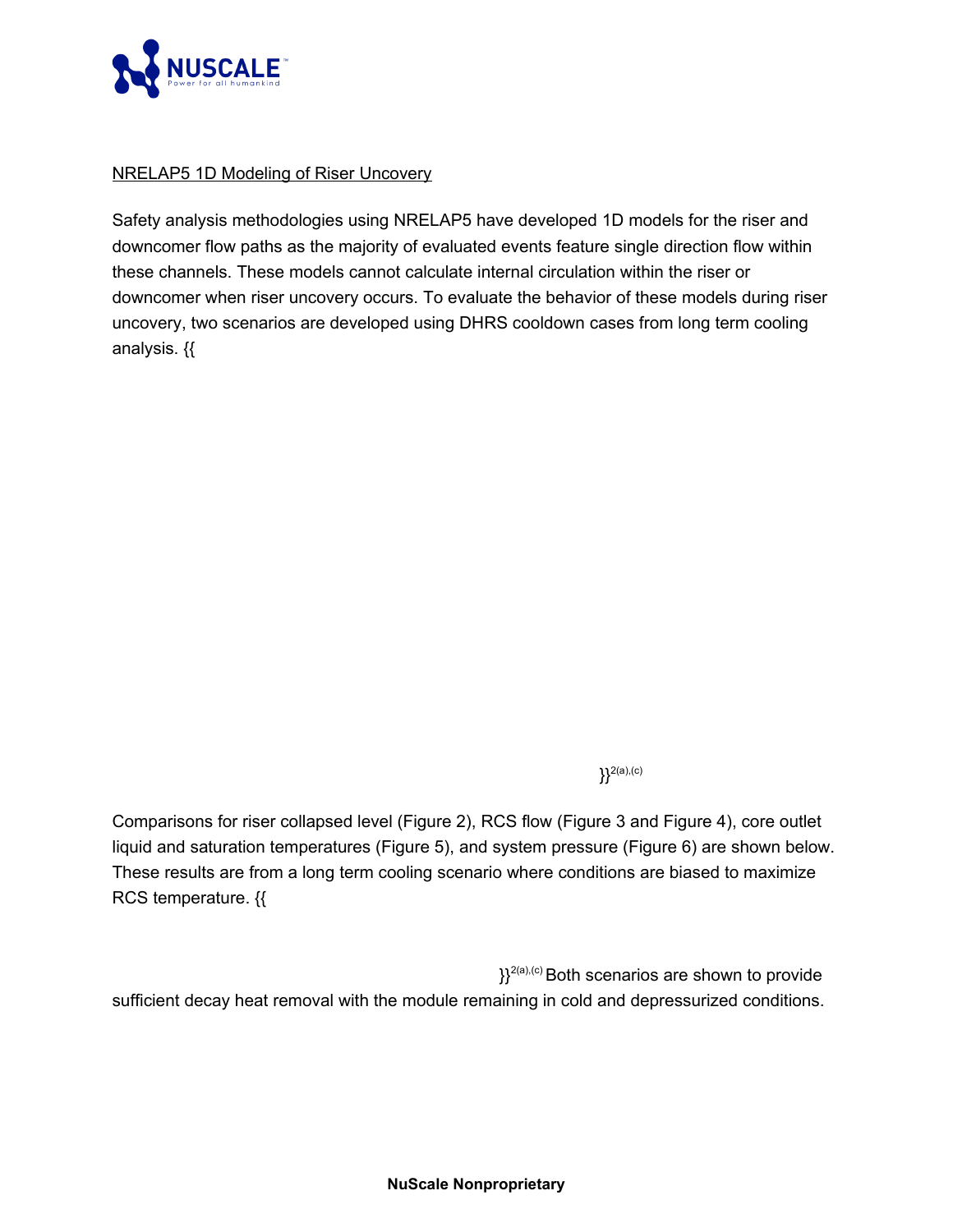

## NRELAP5 1D Modeling of Riser Uncovery

Safety analysis methodologies using NRELAP5 have developed 1D models for the riser and downcomer flow paths as the majority of evaluated events feature single direction flow within these channels. These models cannot calculate internal circulation within the riser or downcomer when riser uncovery occurs. To evaluate the behavior of these models during riser uncovery, two scenarios are developed using DHRS cooldown cases from long term cooling analysis. {{

 ${}^{2(a),(c)}$ 

Comparisons for riser collapsed level (Figure 2), RCS flow (Figure 3 and Figure 4), core outlet liquid and saturation temperatures (Figure 5), and system pressure (Figure 6) are shown below. These results are from a long term cooling scenario where conditions are biased to maximize RCS temperature. {{

 ${}_{3}^{2(a),(c)}$  Both scenarios are shown to provide sufficient decay heat removal with the module remaining in cold and depressurized conditions.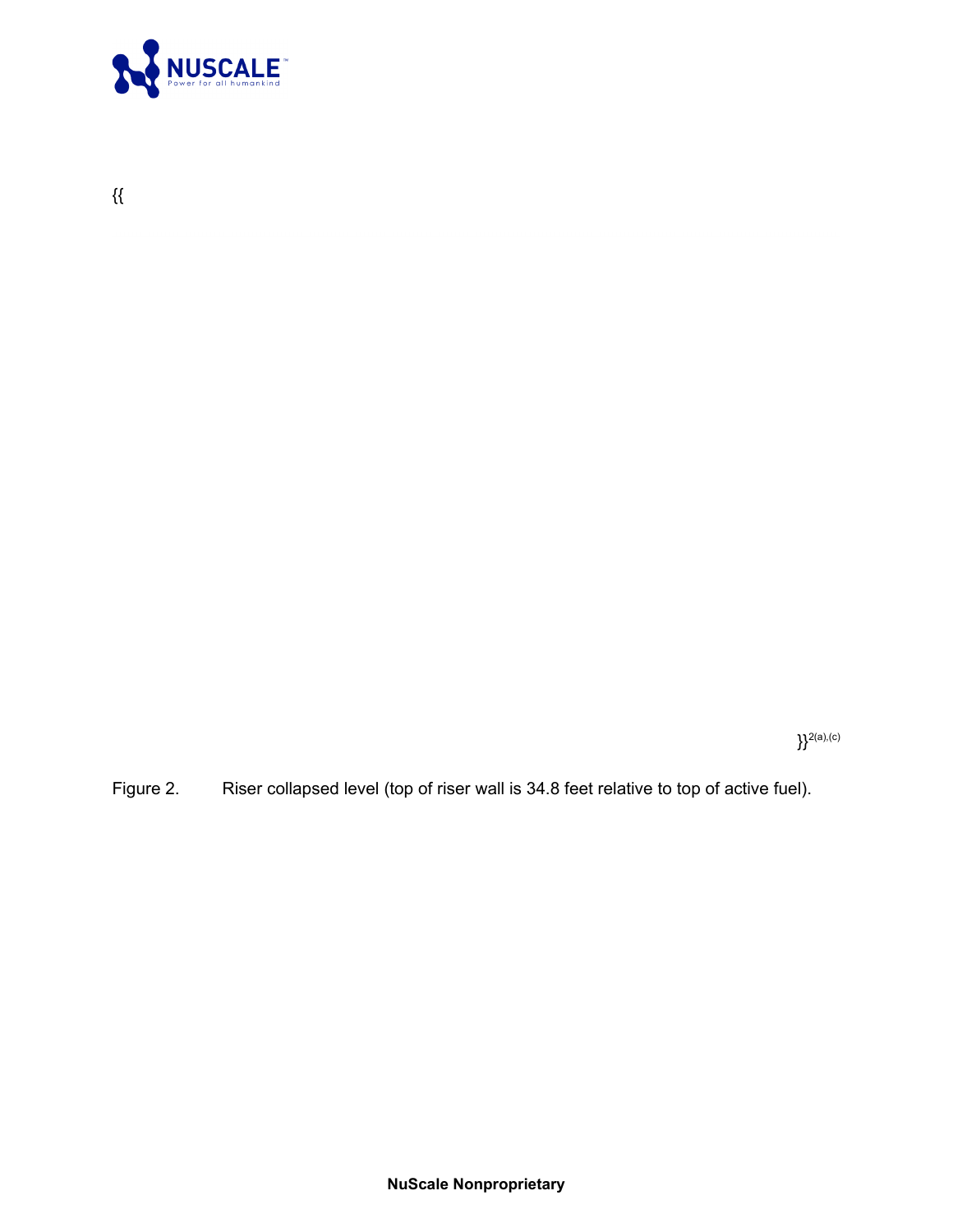

 $\}^{2(a),(c)}$ 

Figure 2. Riser collapsed level (top of riser wall is 34.8 feet relative to top of active fuel).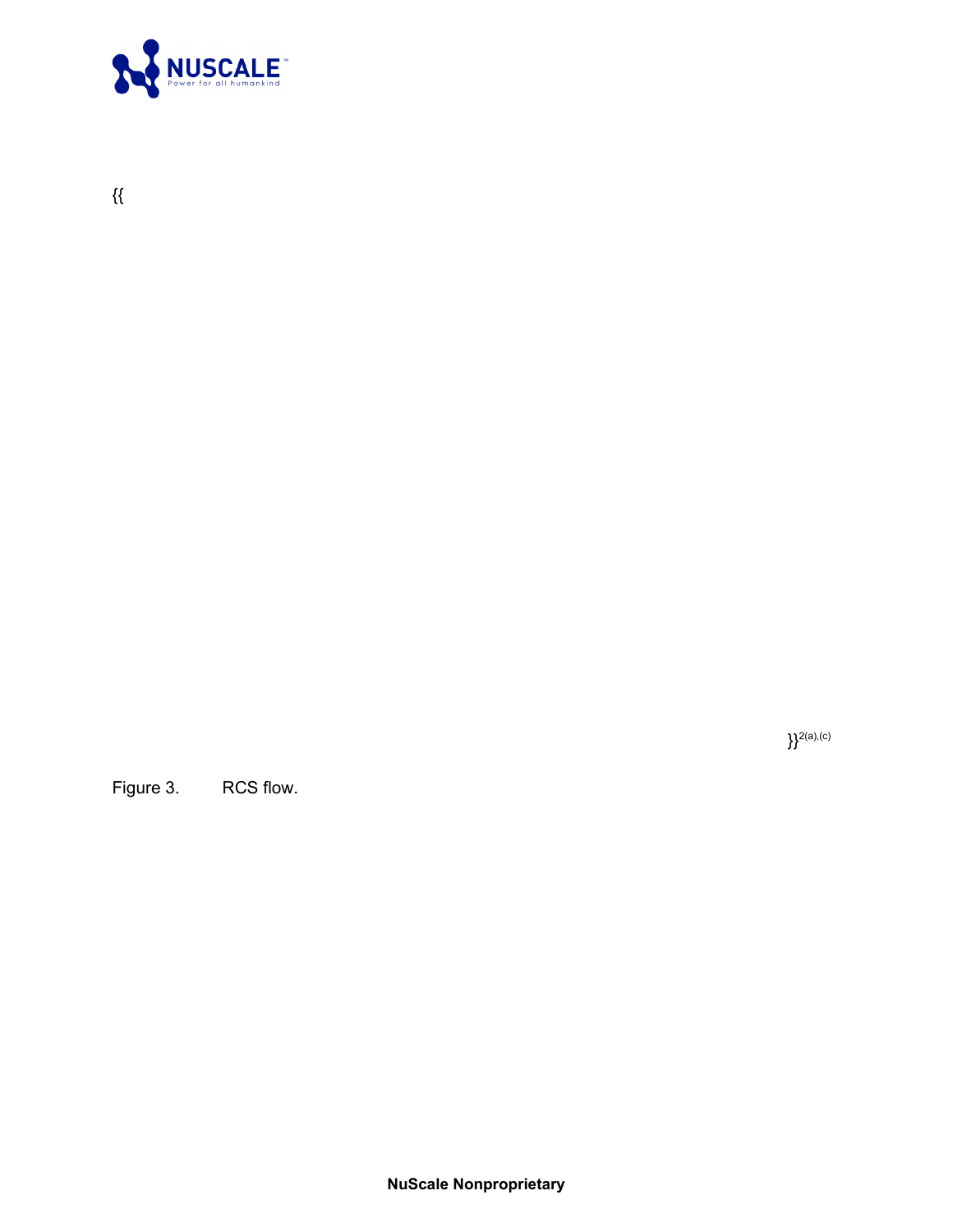

 $\}^{2(a),(c)}$ 

Figure 3. RCS flow.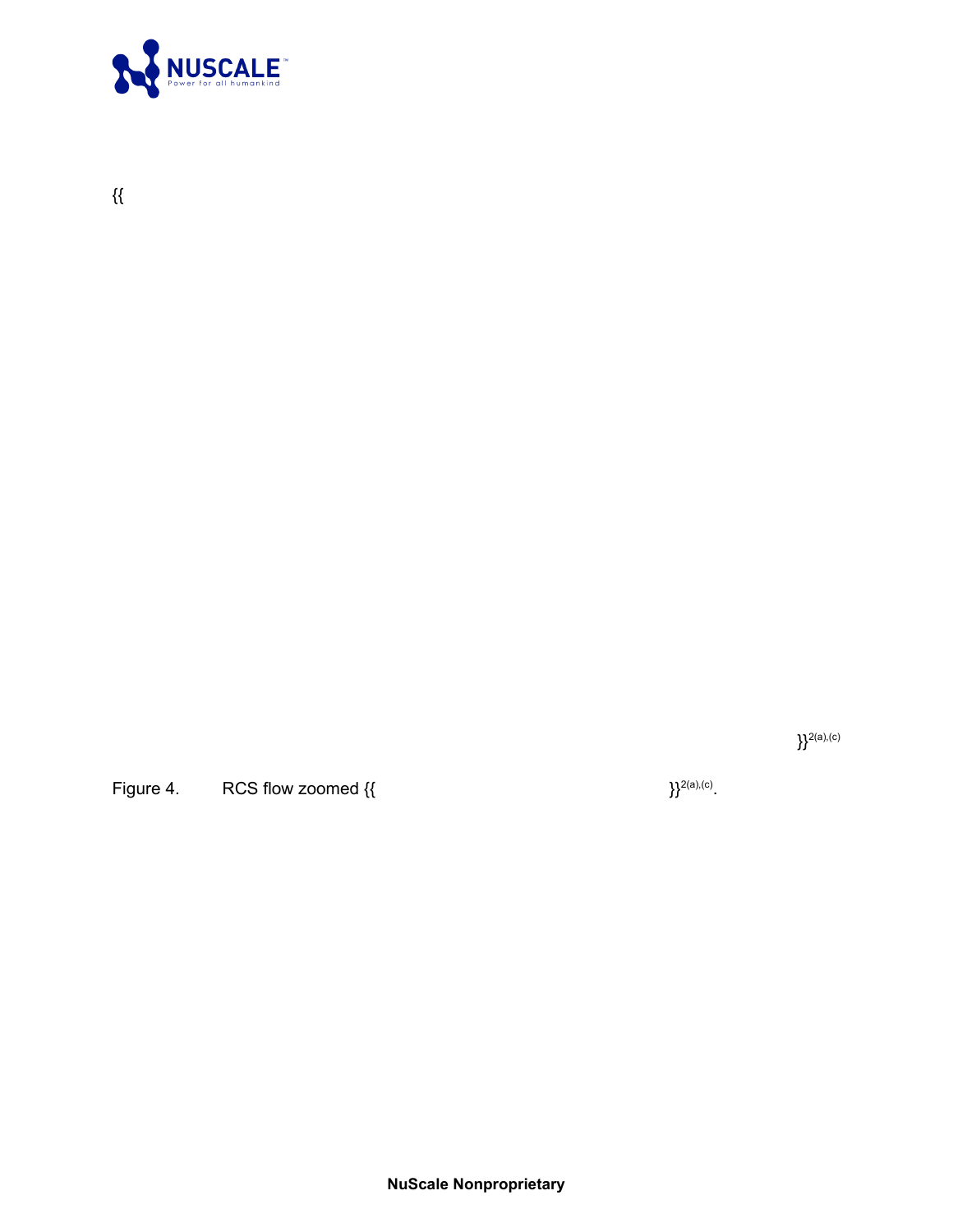

 $\}^{2(a),(c)}$ 

Figure 4. RCS flow zoomed {{

 $\}^{2(a),(c)}.$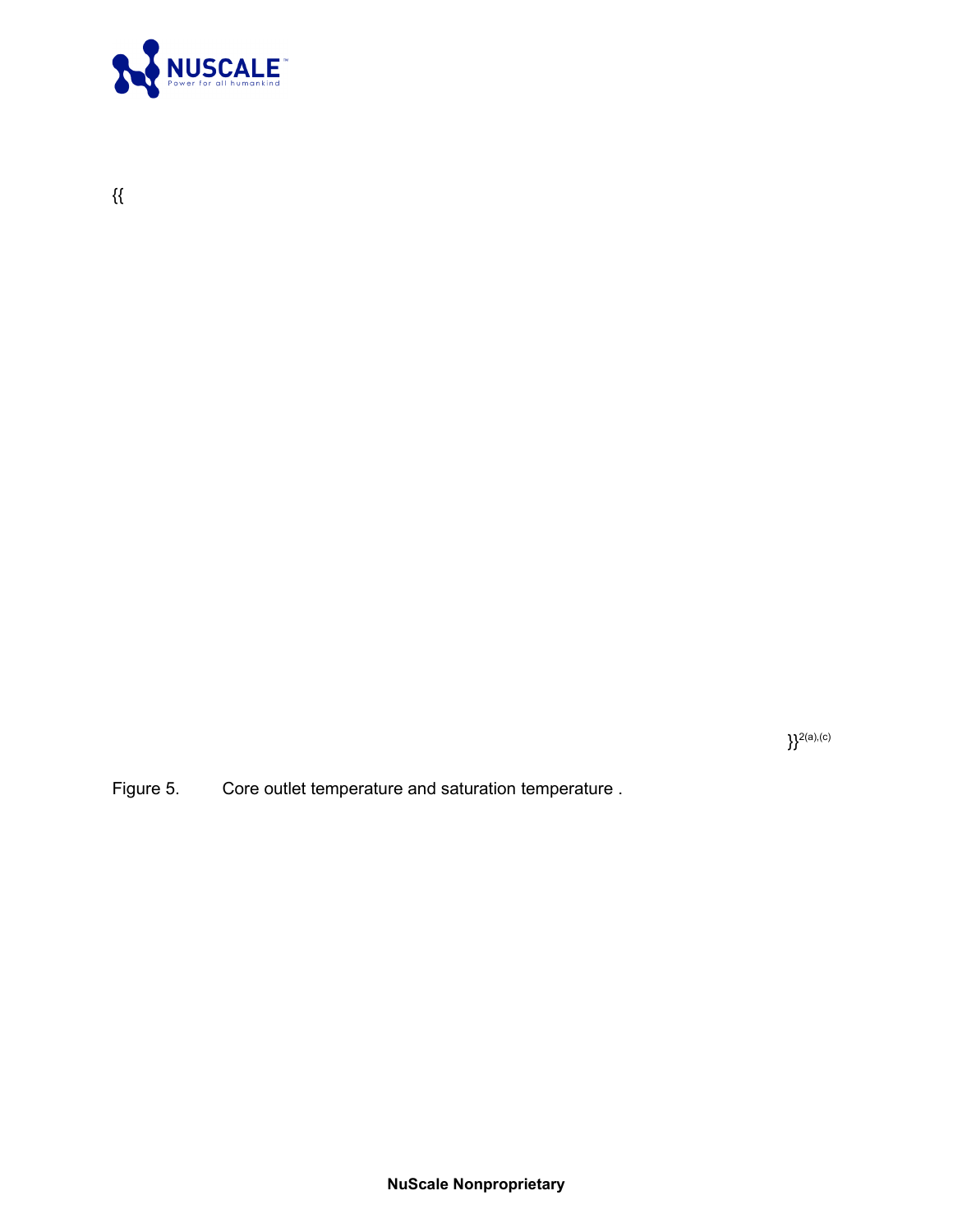

 $\}^{2(\text{a}),(\text{c})}$ 

Figure 5. Core outlet temperature and saturation temperature .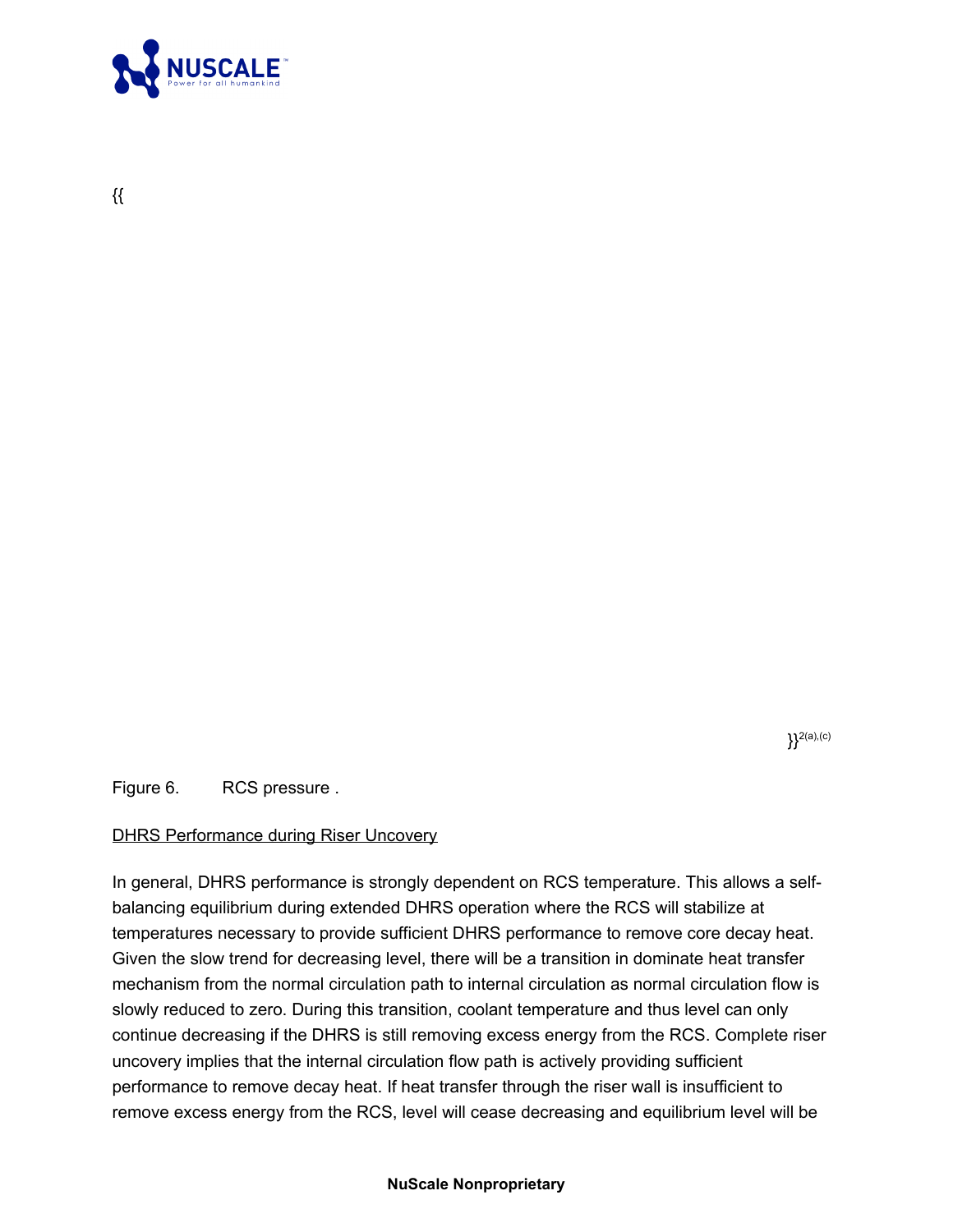

{{

 ${}^{2(a),(c)}$ 

Figure 6. RCS pressure .

### DHRS Performance during Riser Uncovery

In general, DHRS performance is strongly dependent on RCS temperature. This allows a selfbalancing equilibrium during extended DHRS operation where the RCS will stabilize at temperatures necessary to provide sufficient DHRS performance to remove core decay heat. Given the slow trend for decreasing level, there will be a transition in dominate heat transfer mechanism from the normal circulation path to internal circulation as normal circulation flow is slowly reduced to zero. During this transition, coolant temperature and thus level can only continue decreasing if the DHRS is still removing excess energy from the RCS. Complete riser uncovery implies that the internal circulation flow path is actively providing sufficient performance to remove decay heat. If heat transfer through the riser wall is insufficient to remove excess energy from the RCS, level will cease decreasing and equilibrium level will be

**NuScale Nonproprietary**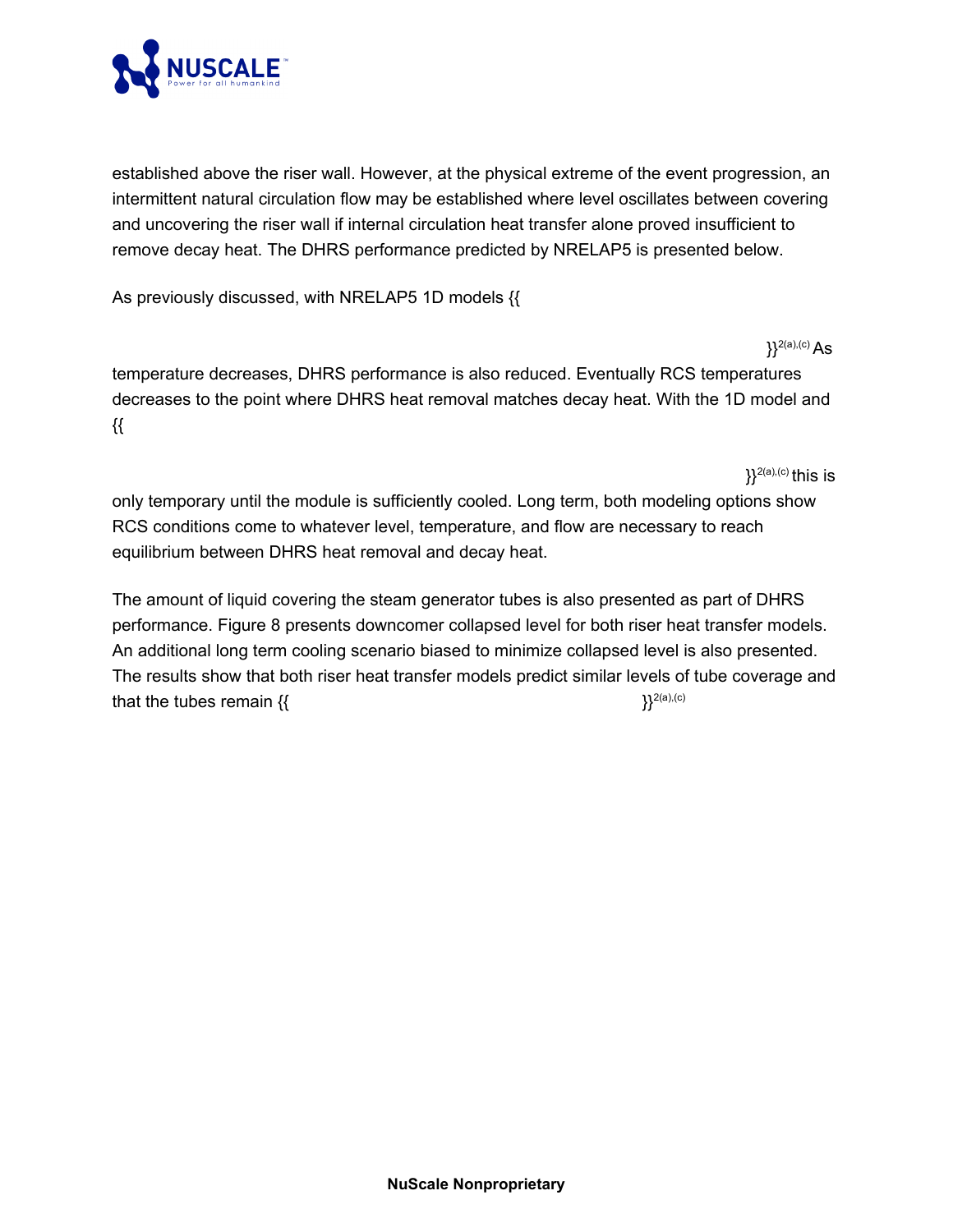

established above the riser wall. However, at the physical extreme of the event progression, an intermittent natural circulation flow may be established where level oscillates between covering and uncovering the riser wall if internal circulation heat transfer alone proved insufficient to remove decay heat. The DHRS performance predicted by NRELAP5 is presented below.

As previously discussed, with NRELAP5 1D models {{

 ${}^{12(a),(c)}$  As temperature decreases, DHRS performance is also reduced. Eventually RCS temperatures decreases to the point where DHRS heat removal matches decay heat. With the 1D model and {{

only temporary until the module is sufficiently cooled. Long term, both modeling options show RCS conditions come to whatever level, temperature, and flow are necessary to reach equilibrium between DHRS heat removal and decay heat.

 ${}^{12(2a),(c)}$  this is

The amount of liquid covering the steam generator tubes is also presented as part of DHRS performance. Figure 8 presents downcomer collapsed level for both riser heat transfer models. An additional long term cooling scenario biased to minimize collapsed level is also presented. The results show that both riser heat transfer models predict similar levels of tube coverage and that the tubes remain  $\{\}$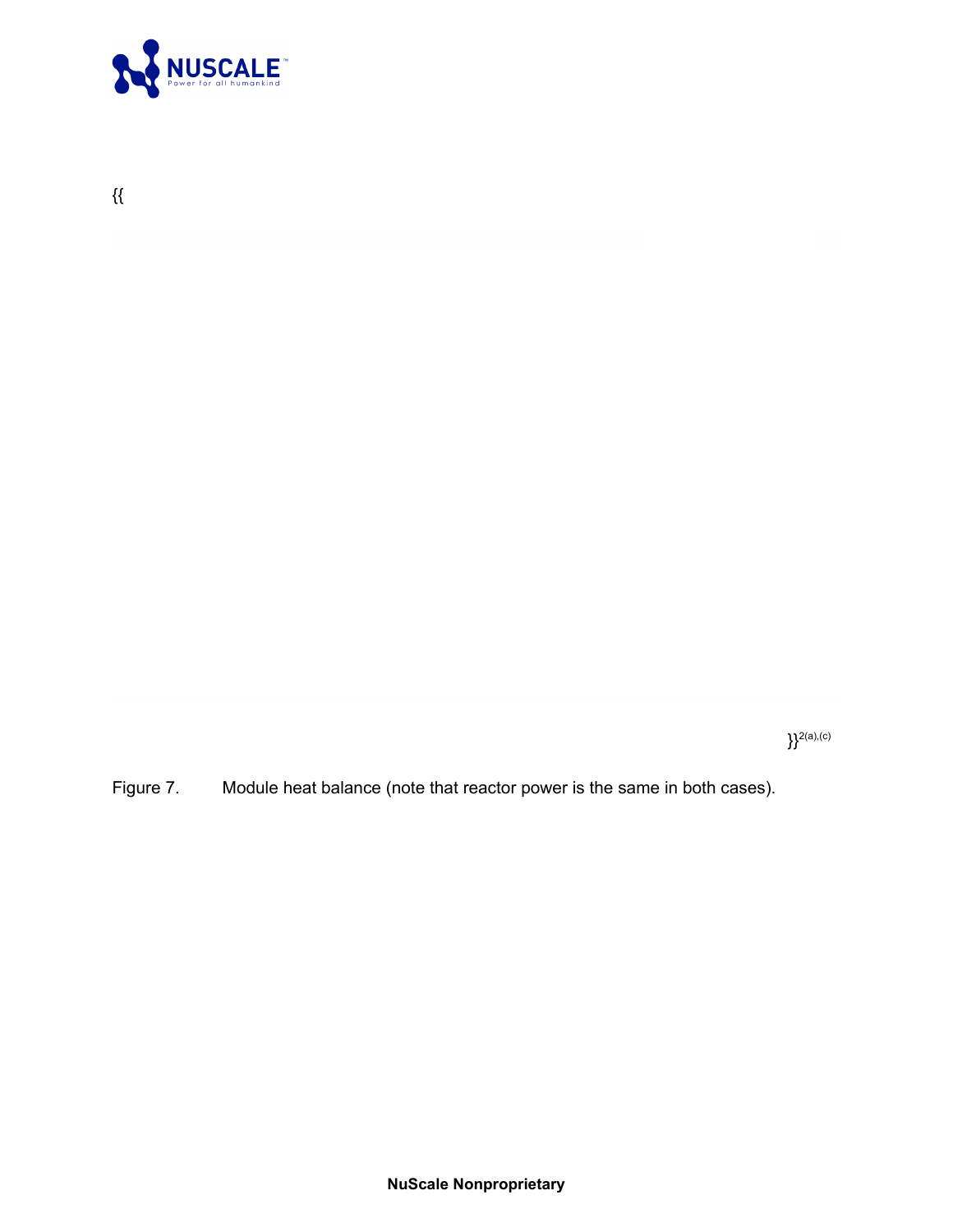

 $\}^{2(a),(c)}$ 

Figure 7. Module heat balance (note that reactor power is the same in both cases).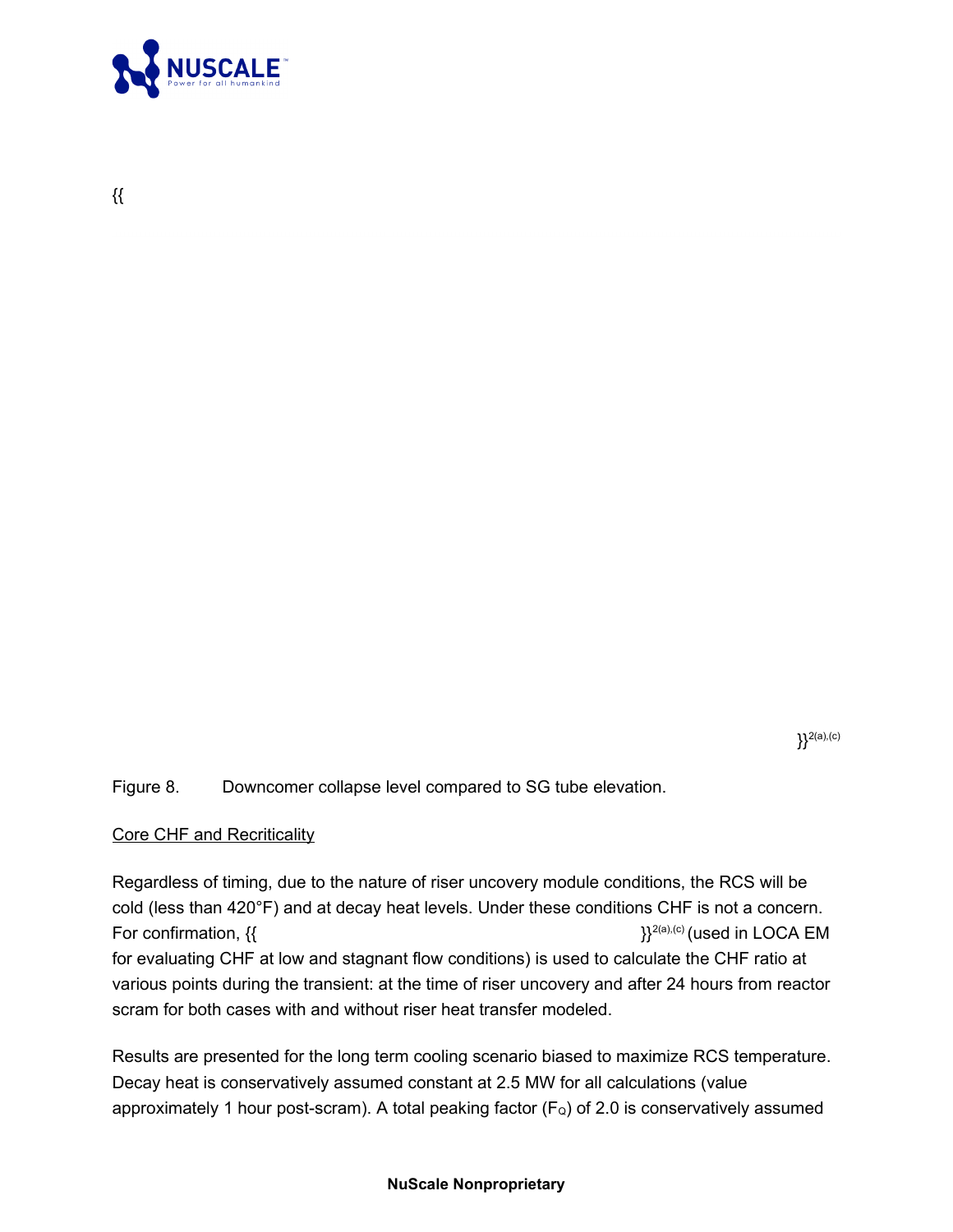

{{

 ${}^{2(a),(c)}$ 

Figure 8. Downcomer collapse level compared to SG tube elevation.

### Core CHF and Recriticality

Regardless of timing, due to the nature of riser uncovery module conditions, the RCS will be cold (less than 420°F) and at decay heat levels. Under these conditions CHF is not a concern. For confirmation,  $\{\}$ for evaluating CHF at low and stagnant flow conditions) is used to calculate the CHF ratio at various points during the transient: at the time of riser uncovery and after 24 hours from reactor scram for both cases with and without riser heat transfer modeled.

Results are presented for the long term cooling scenario biased to maximize RCS temperature. Decay heat is conservatively assumed constant at 2.5 MW for all calculations (value approximately 1 hour post-scram). A total peaking factor ( $F_Q$ ) of 2.0 is conservatively assumed

#### **NuScale Nonproprietary**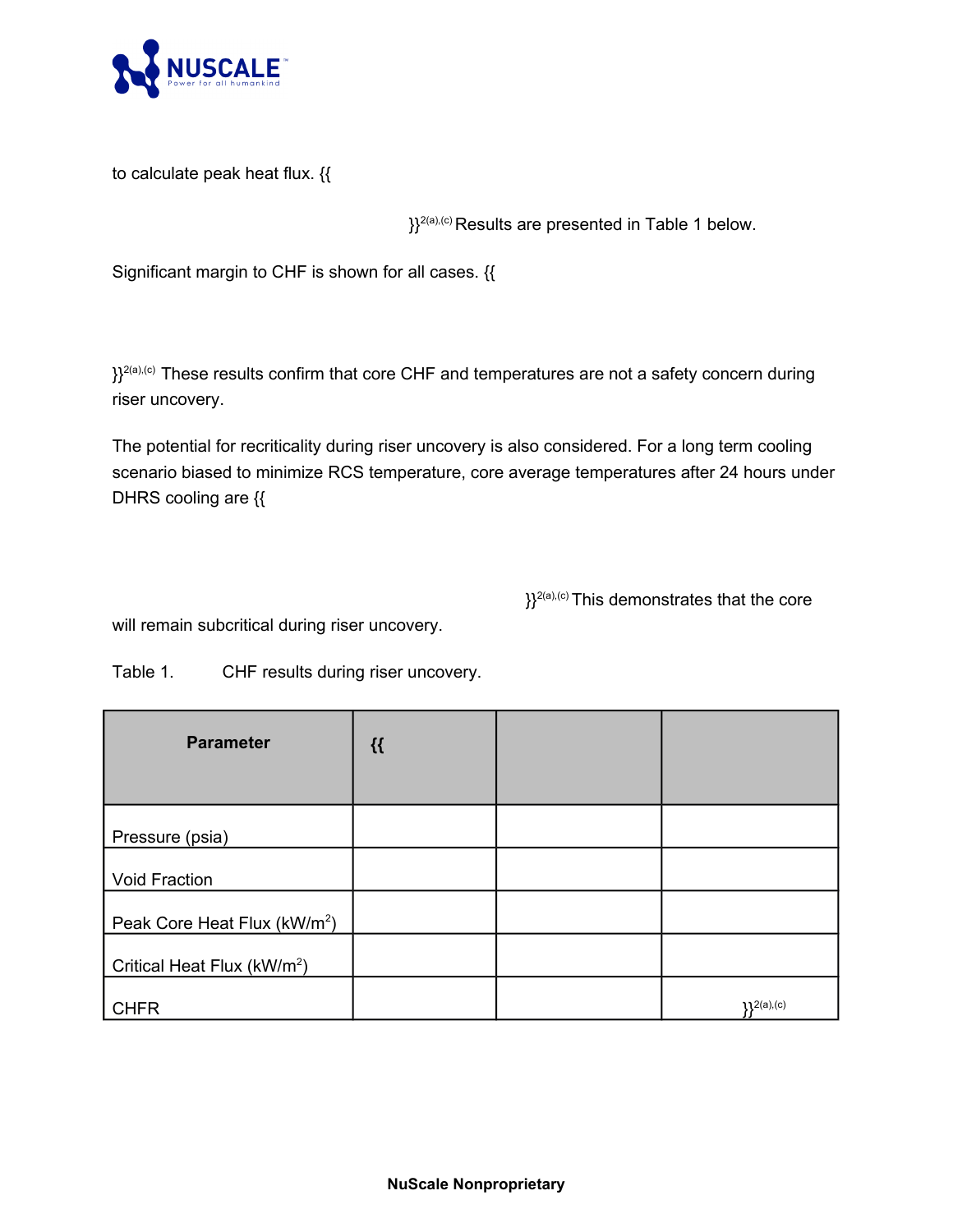

to calculate peak heat flux. {{

 ${}^{\atop }_1\}$ <sup>2(a),(c)</sup> Results are presented in Table 1 below.

Significant margin to CHF is shown for all cases. {{

}}<sup>2(a),(c)</sup> These results confirm that core CHF and temperatures are not a safety concern during riser uncovery.

The potential for recriticality during riser uncovery is also considered. For a long term cooling scenario biased to minimize RCS temperature, core average temperatures after 24 hours under DHRS cooling are {{

 ${}_{3}^{1}Y^{2(a),(c)}$  This demonstrates that the core

will remain subcritical during riser uncovery.

Table 1. CHF results during riser uncovery.

| <b>Parameter</b>                         | $\mathcal{H}$ |           |
|------------------------------------------|---------------|-----------|
| Pressure (psia)                          |               |           |
| Void Fraction                            |               |           |
| Peak Core Heat Flux (kW/m <sup>2</sup> ) |               |           |
| Critical Heat Flux (kW/m <sup>2</sup> )  |               |           |
| <b>CHFR</b>                              |               | 12(a),(c) |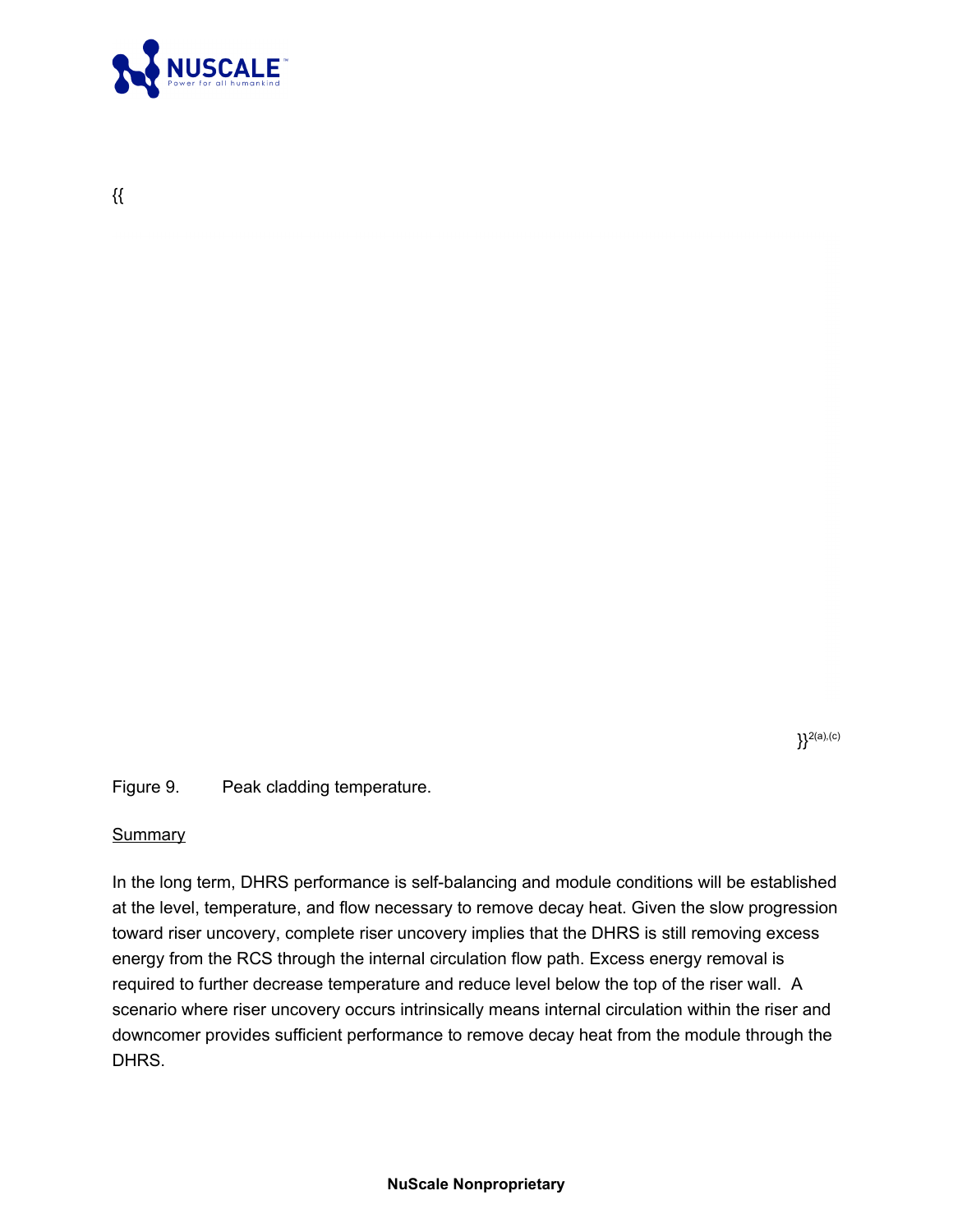

{{

 ${}^{2(a),(c)}$ 

Figure 9. Peak cladding temperature.

#### **Summary**

In the long term, DHRS performance is self-balancing and module conditions will be established at the level, temperature, and flow necessary to remove decay heat. Given the slow progression toward riser uncovery, complete riser uncovery implies that the DHRS is still removing excess energy from the RCS through the internal circulation flow path. Excess energy removal is required to further decrease temperature and reduce level below the top of the riser wall. A scenario where riser uncovery occurs intrinsically means internal circulation within the riser and downcomer provides sufficient performance to remove decay heat from the module through the DHRS.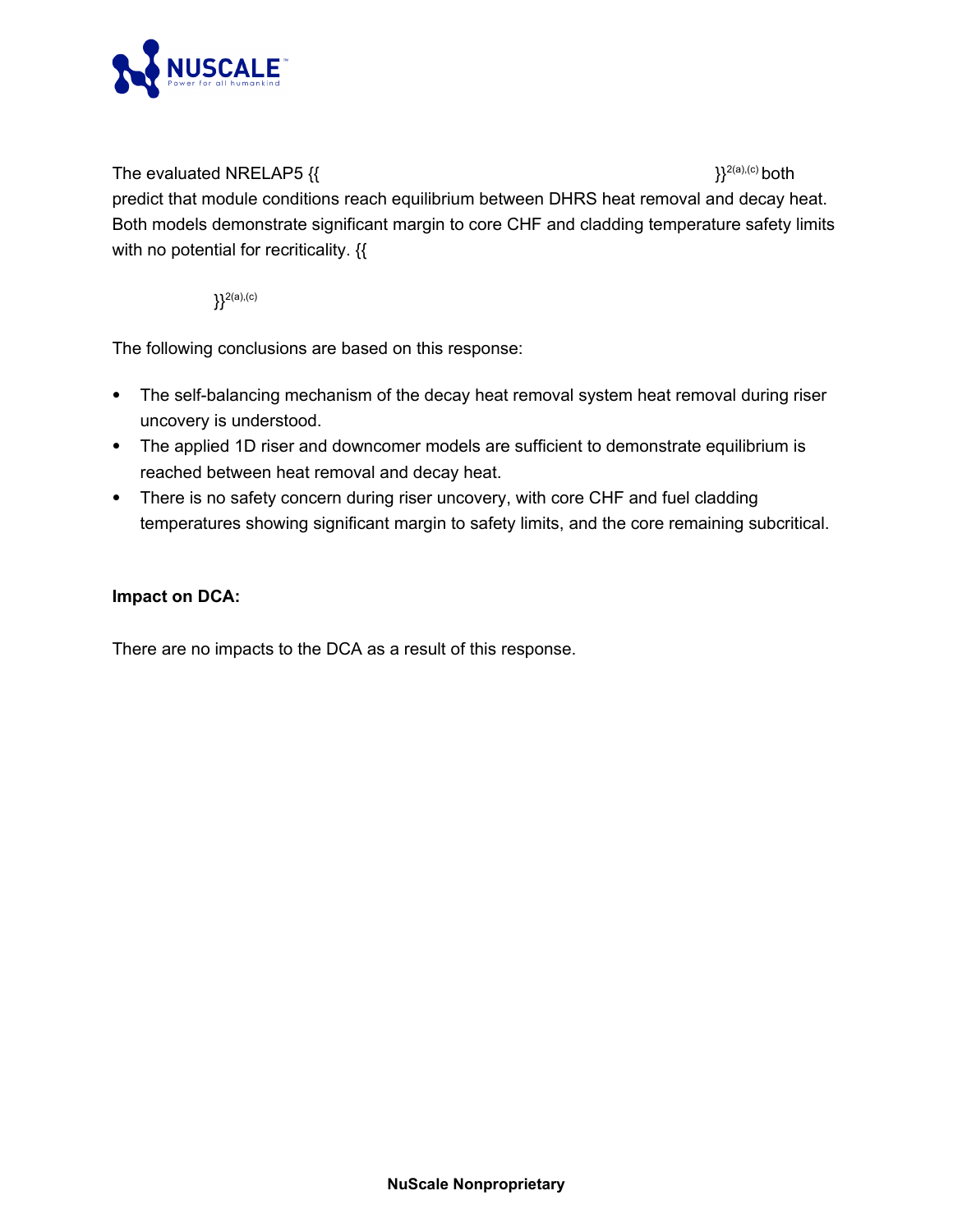

## The evaluated NRELAP5  $\{$ {  $\}$ <sup>2(a),(c)</sup> both

predict that module conditions reach equilibrium between DHRS heat removal and decay heat. Both models demonstrate significant margin to core CHF and cladding temperature safety limits with no potential for recriticality. {

 ${}^{2(a),(c)}$ 

The following conclusions are based on this response:

- · The self-balancing mechanism of the decay heat removal system heat removal during riser uncovery is understood.
- · The applied 1D riser and downcomer models are sufficient to demonstrate equilibrium is reached between heat removal and decay heat.
- · There is no safety concern during riser uncovery, with core CHF and fuel cladding temperatures showing significant margin to safety limits, and the core remaining subcritical.

# **Impact on DCA:**

There are no impacts to the DCA as a result of this response.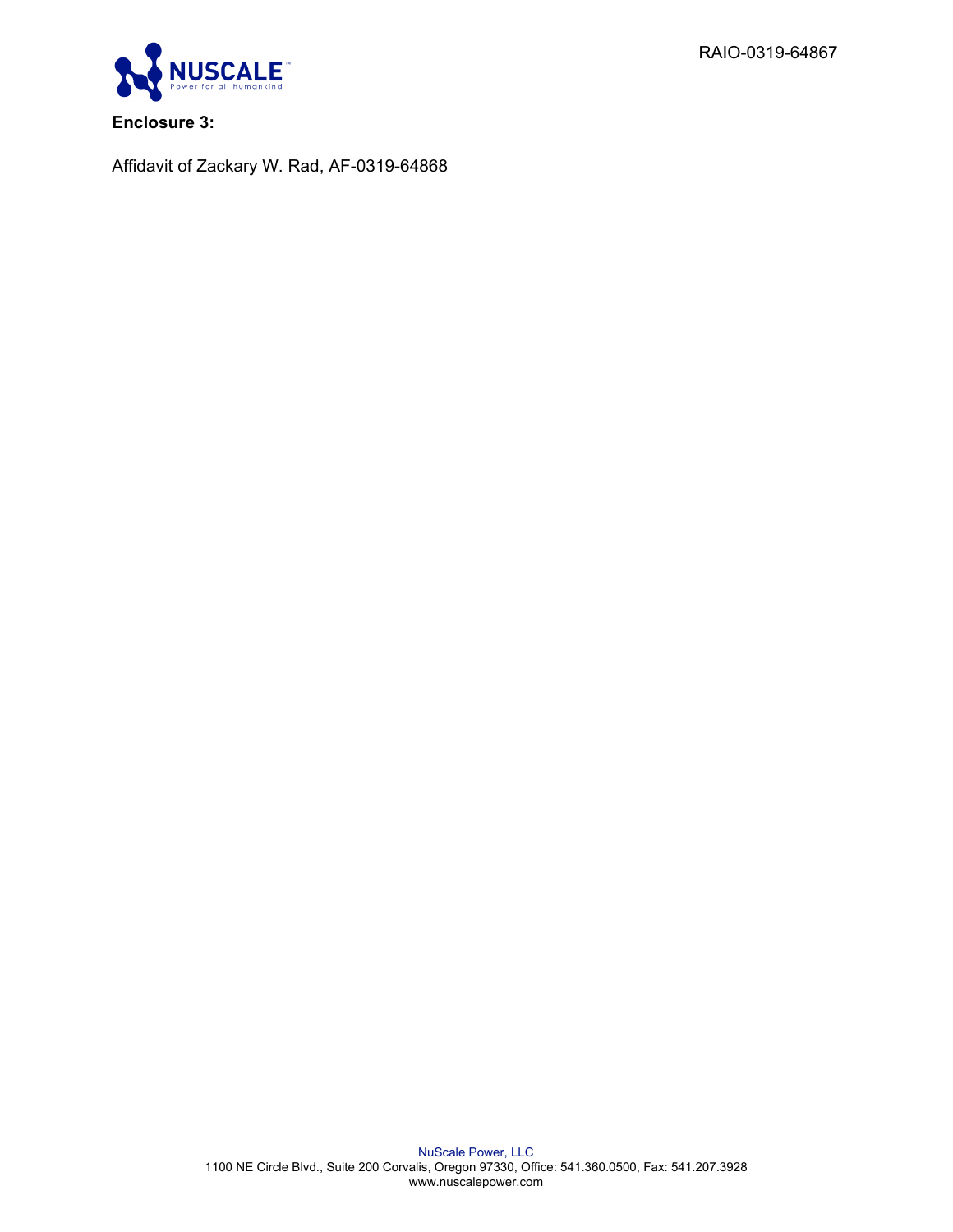RAIO-0319-64867



**Enclosure 3:**

Affidavit of Zackary W. Rad, AF-0319-64868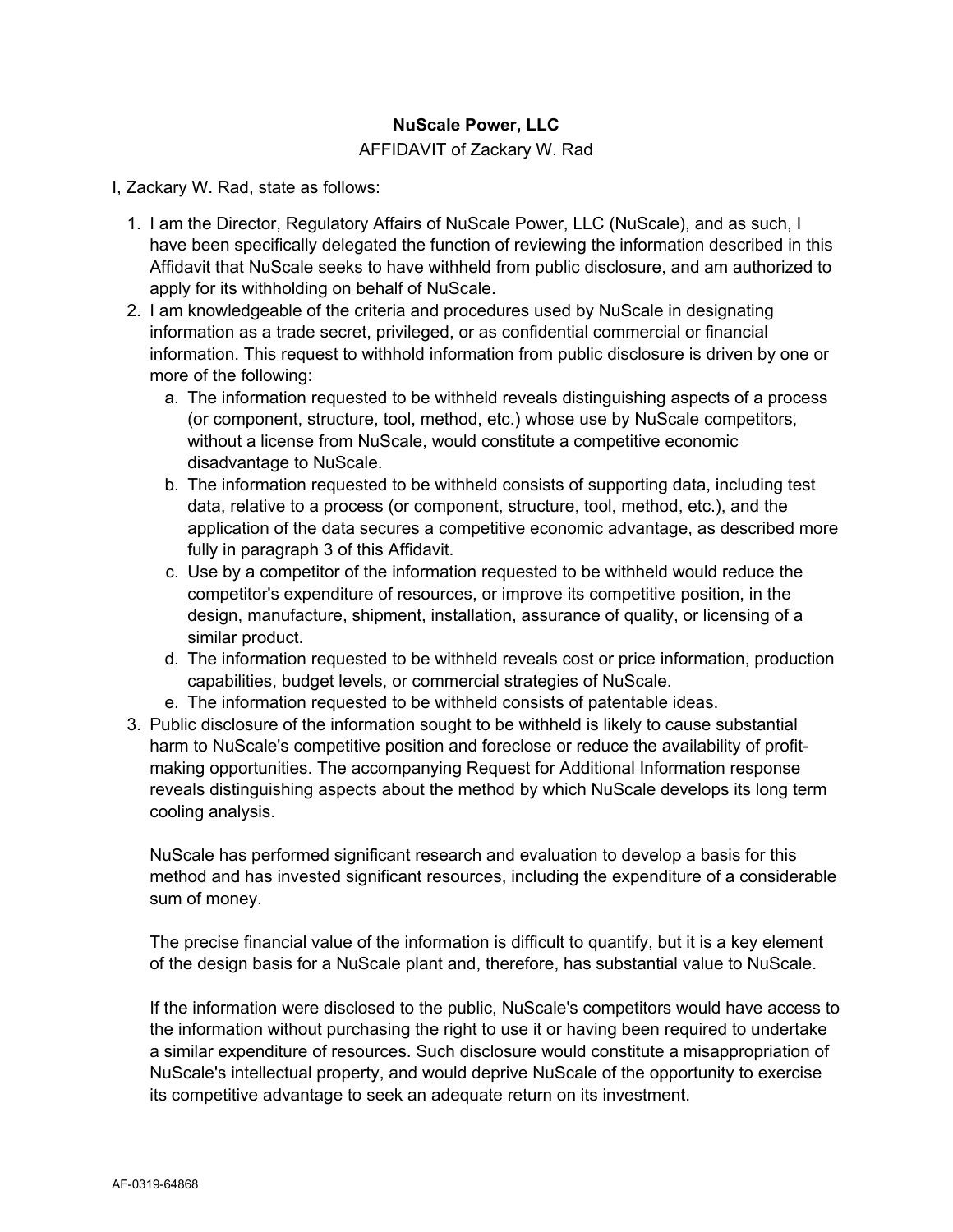## **NuScale Power, LLC**

#### AFFIDAVIT of Zackary W. Rad

I, Zackary W. Rad, state as follows:

- 1. I am the Director, Regulatory Affairs of NuScale Power, LLC (NuScale), and as such, I have been specifically delegated the function of reviewing the information described in this Affidavit that NuScale seeks to have withheld from public disclosure, and am authorized to apply for its withholding on behalf of NuScale.
- 2. I am knowledgeable of the criteria and procedures used by NuScale in designating information as a trade secret, privileged, or as confidential commercial or financial information. This request to withhold information from public disclosure is driven by one or more of the following:
	- a. The information requested to be withheld reveals distinguishing aspects of a process (or component, structure, tool, method, etc.) whose use by NuScale competitors, without a license from NuScale, would constitute a competitive economic disadvantage to NuScale.
	- b. The information requested to be withheld consists of supporting data, including test data, relative to a process (or component, structure, tool, method, etc.), and the application of the data secures a competitive economic advantage, as described more fully in paragraph 3 of this Affidavit.
	- c. Use by a competitor of the information requested to be withheld would reduce the competitor's expenditure of resources, or improve its competitive position, in the design, manufacture, shipment, installation, assurance of quality, or licensing of a similar product.
	- d. The information requested to be withheld reveals cost or price information, production capabilities, budget levels, or commercial strategies of NuScale.
	- e. The information requested to be withheld consists of patentable ideas.
- 3. Public disclosure of the information sought to be withheld is likely to cause substantial harm to NuScale's competitive position and foreclose or reduce the availability of profitmaking opportunities. The accompanying Request for Additional Information response reveals distinguishing aspects about the method by which NuScale develops its long term cooling analysis.

NuScale has performed significant research and evaluation to develop a basis for this method and has invested significant resources, including the expenditure of a considerable sum of money.

The precise financial value of the information is difficult to quantify, but it is a key element of the design basis for a NuScale plant and, therefore, has substantial value to NuScale.

If the information were disclosed to the public, NuScale's competitors would have access to the information without purchasing the right to use it or having been required to undertake a similar expenditure of resources. Such disclosure would constitute a misappropriation of NuScale's intellectual property, and would deprive NuScale of the opportunity to exercise its competitive advantage to seek an adequate return on its investment.